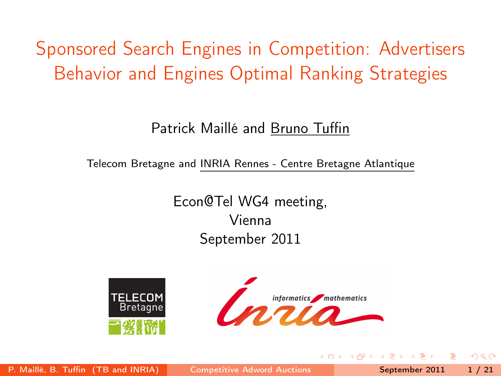# Sponsored Search Engines in Competition: Advertisers Behavior and Engines Optimal Ranking Strategies

#### Patrick Maillé and Bruno Tuffin

Telecom Bretagne and INRIA Rennes - Centre Bretagne Atlantique

Econ@Tel WG4 meeting, Vienna September 2011





<span id="page-0-0"></span> $QQ$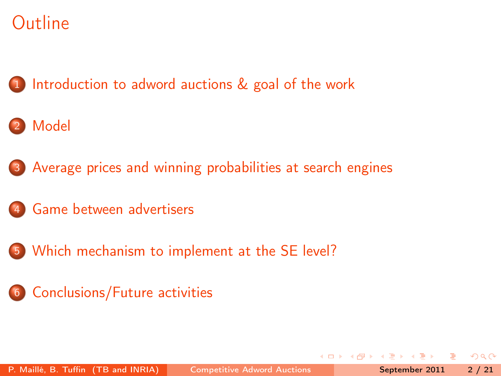1 [Introduction to adword auctions & goal of the work](#page-2-0)

## 2 [Model](#page-6-0)

- 3 [Average prices and winning probabilities at search engines](#page-9-0)
- 4 [Game between advertisers](#page-12-0)
- 5 [Which mechanism to implement at the SE level?](#page-17-0)
- 6 [Conclusions/Future activities](#page-19-0)

 $QQ$ 

 $\overline{AB}$  ) and  $\overline{B}$  and  $\overline{B}$  and  $\overline{B}$  and  $\overline{B}$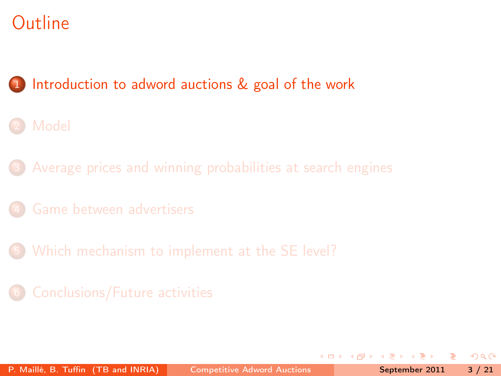1 [Introduction to adword auctions & goal of the work](#page-2-0)

- **[Model](#page-6-0)**
- [Average prices and winning probabilities at search engines](#page-9-0)
- 
- 5 [Which mechanism to implement at the SE level?](#page-17-0)
- 

<span id="page-2-0"></span> $QQ$ 

**Allen Strate** 

4 D F

4 f D →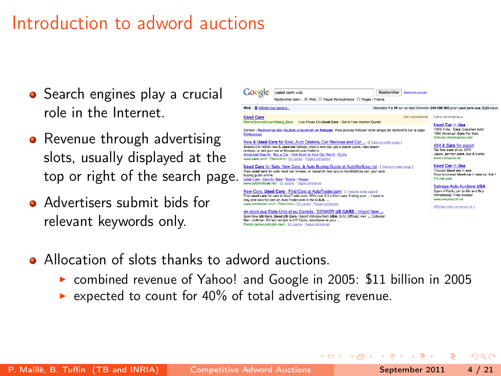## Introduction to adword auctions

- Search engines play a crucial role in the Internet.
- Revenue through advertising slots, usually displayed at the top or right of the search page.
- **Advertisers submit bids for** relevant keywords only.



イロト イ母 ト イヨ ト イヨト

- Allocation of slots thanks to adword auctions.
	- combined revenue of Yahoo! and Google in 2005: \$11 billion in 2005

Car - oldtimer. S'il faut remplir le ZIP Code, remplissez-le pour ... french denker człoutre-mer/ - En cache - Pages similaires

expected to count for 40% of total advertising revenue.

つへへ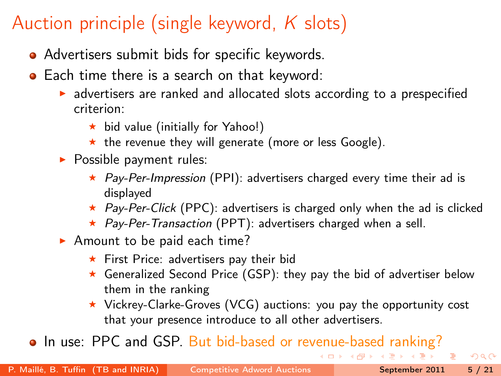## Auction principle (single keyword,  $K$  slots)

- Advertisers submit bids for specific keywords.
- Each time there is a search on that keyword:
	- $\triangleright$  advertisers are ranked and allocated slots according to a prespecified criterion:
		- $\star$  bid value (initially for Yahoo!)
		- $\star$  the revenue they will generate (more or less Google).
	- $\blacktriangleright$  Possible payment rules:
		- $\star$  Pay-Per-Impression (PPI): advertisers charged every time their ad is displayed
		- $\star$  Pay-Per-Click (PPC): advertisers is charged only when the ad is clicked
		- $\star$  Pay-Per-Transaction (PPT): advertisers charged when a sell.
	- $\blacktriangleright$  Amount to be paid each time?
		- $\star$  First Price: advertisers pay their bid
		- $\star$  Generalized Second Price (GSP): they pay the bid of advertiser below them in the ranking
		- $\star$  Vickrey-Clarke-Groves (VCG) auctions: you pay the opportunity cost that your presence introduce to all other advertisers.

• In use: PPC and GSP. But bid-based or revenue-based ranking?

 $\eta$ a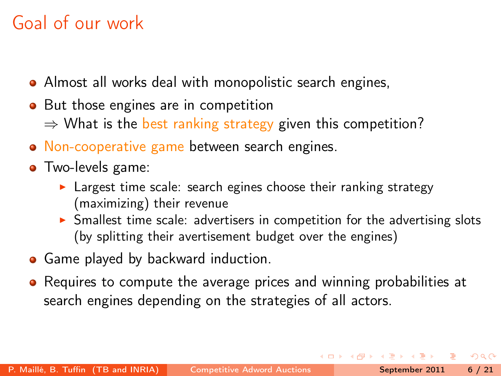# Goal of our work

- Almost all works deal with monopolistic search engines,
- But those engines are in competition  $\Rightarrow$  What is the best ranking strategy given this competition?
- Non-cooperative game between search engines.
- Two-levels game:
	- $\blacktriangleright$  Largest time scale: search egines choose their ranking strategy (maximizing) their revenue
	- $\triangleright$  Smallest time scale: advertisers in competition for the advertising slots (by splitting their avertisement budget over the engines)
- Game played by backward induction.
- Requires to compute the average prices and winning probabilities at search engines depending on the strategies of all actors.

<span id="page-5-0"></span> $\Omega$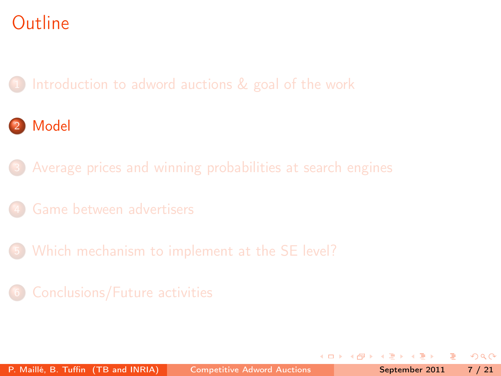[Introduction to adword auctions & goal of the work](#page-2-0)

## 2 [Model](#page-6-0)

- [Average prices and winning probabilities at search engines](#page-9-0)
- 
- 5 [Which mechanism to implement at the SE level?](#page-17-0)
- 

<span id="page-6-0"></span> $QQ$ 

The South

 $\leftarrow$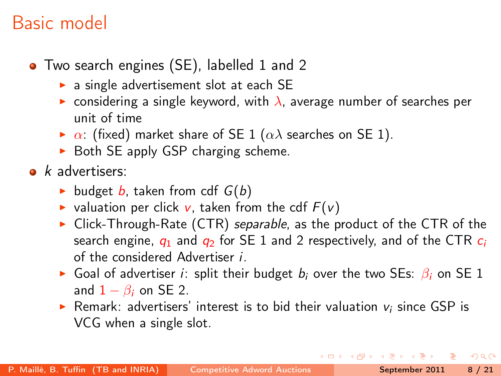## Basic model

- Two search engines (SE), labelled 1 and 2
	- $\triangleright$  a single advertisement slot at each SE
	- **EX** considering a single keyword, with  $\lambda$ , average number of searches per unit of time
	- $\triangleright$   $\alpha$ : (fixed) market share of SE 1 ( $\alpha\lambda$  searches on SE 1).
	- $\triangleright$  Both SE apply GSP charging scheme.
- $\bullet$  *k* advertisers:
	- budget b, taken from cdf  $G(b)$
	- valuation per click v, taken from the cdf  $F(v)$
	- $\triangleright$  Click-Through-Rate (CTR) separable, as the product of the CTR of the search engine,  $q_1$  and  $q_2$  for SE 1 and 2 respectively, and of the CTR  $c_i$ of the considered Advertiser i.
	- Goal of advertiser *i*: split their budget  $b_i$  over the two SEs:  $\beta_i$  on SE 1 and  $1 - \beta_i$  on SE 2.
	- Exempt Remark: advertisers' interest is to bid their valuation  $v_i$  since GSP is VCG when a single slot.

<span id="page-7-0"></span> $\Omega$ 

イロト イ母ト イヨト イヨト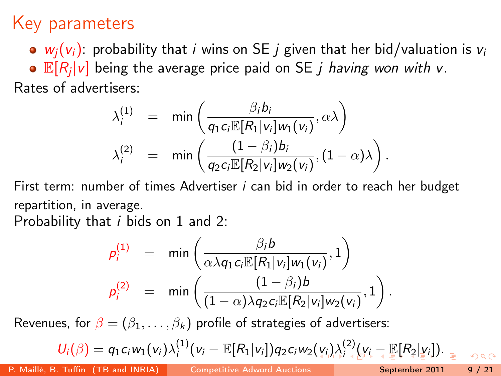## Key parameters

 $\bullet$   $w_i(v_i)$ : probability that *i* wins on SE *j* given that her bid/valuation is  $v_i$ 

 $\mathbb{E}[R_j|v]$  being the average price paid on SE  $j$  *having won with v*. Rates of advertisers:

$$
\lambda_i^{(1)} = \min \left( \frac{\beta_i b_i}{q_1 c_i \mathbb{E}[R_1 | v_i] w_1(v_i)}, \alpha \lambda \right)
$$

$$
\lambda_i^{(2)} = \min \left( \frac{(1 - \beta_i) b_i}{q_2 c_i \mathbb{E}[R_2 | v_i] w_2(v_i)}, (1 - \alpha) \lambda \right).
$$

First term: number of times Advertiser *i* can bid in order to reach her budget repartition, in average.

Probability that *i* bids on 1 and 2:

<span id="page-8-0"></span>
$$
p_i^{(1)} = \min\left(\frac{\beta_i b}{\alpha \lambda q_1 c_i \mathbb{E}[R_1|v_i] w_1(v_i)}, 1\right)
$$
  

$$
p_i^{(2)} = \min\left(\frac{(1-\beta_i)b}{(1-\alpha)\lambda q_2 c_i \mathbb{E}[R_2|v_i] w_2(v_i)}, 1\right).
$$

Revenues, for  $\beta = (\beta_1, \ldots, \beta_k)$  profile of strategies of advertisers:

$$
U_i(\beta)=q_1c_iw_1(v_i)\lambda_i^{(1)}(v_i-\mathbb{E}[R_1|v_i])q_2c_iw_2(v_i)\lambda_i^{(2)}(v_i-\mathbb{E}[R_2|v_i]).
$$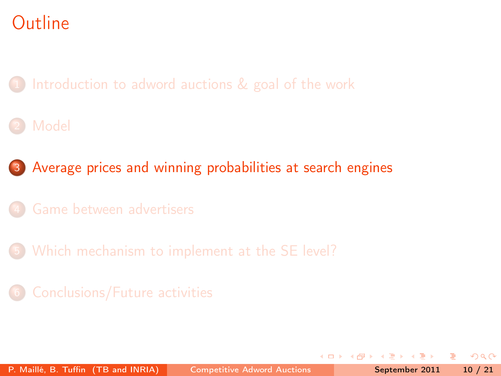[Introduction to adword auctions & goal of the work](#page-2-0)

### **[Model](#page-6-0)**

3 [Average prices and winning probabilities at search engines](#page-9-0)

- 
- 5 [Which mechanism to implement at the SE level?](#page-17-0)
- 

<span id="page-9-0"></span> $QQ$ 

**ALCOHOL: YES**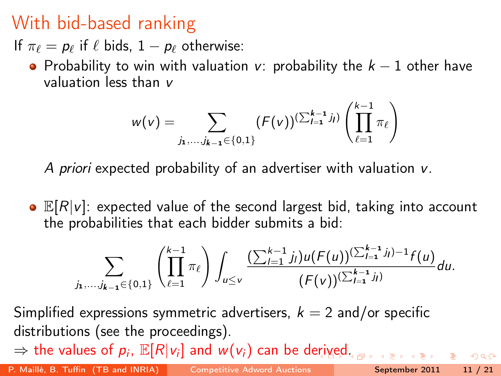## With bid-based ranking

If  $\pi_{\ell} = p_{\ell}$  if  $\ell$  bids,  $1 - p_{\ell}$  otherwise:

• Probability to win with valuation v: probability the  $k - 1$  other have valuation less than v

$$
w(v) = \sum_{j_1,\ldots,j_{k-1}\in\{0,1\}} (F(v))^{(\sum_{l=1}^{k-1}j_l)} \left(\prod_{\ell=1}^{k-1}\pi_\ell\right)
$$

A priori expected probability of an advertiser with valuation v.

 $\bullet$   $\mathbb{E}[R|v]$ : expected value of the second largest bid, taking into account the probabilities that each bidder submits a bid:

$$
\sum_{j_1,\ldots,j_{k-1}\in\{0,1\}}\left(\prod_{\ell=1}^{k-1}\pi_{\ell}\right)\int_{u\leq v}\frac{(\sum_{l=1}^{k-1}j_l)u(F(u))^{(\sum_{l=1}^{k-1}j_l)-1}f(u)}{(F(v))^{(\sum_{l=1}^{k-1}j_l)}}du.
$$

Simplified expressions symmetric advertisers,  $k = 2$  and/or specific distributions (see the proceedings).

 $\Rightarrow$  the values of  $p_i$ ,  $\mathbb{E}[R|v_i]$  and  $w(v_i)$  can be d[eriv](#page-9-0)[ed](#page-11-0)[.](#page-9-0)

P. Maillé, B. Tuffin (TB and INRIA) [Competitive Adword Auctions](#page-0-0) September 2011 11 / 21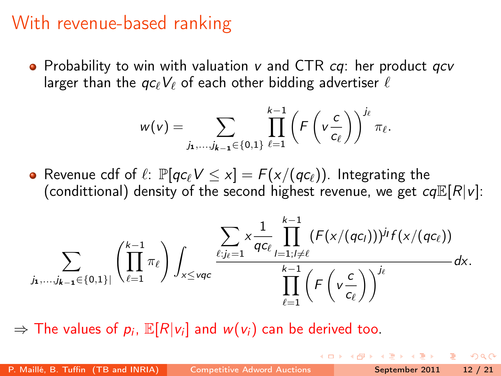## With revenue-based ranking

• Probability to win with valuation  $v$  and CTR  $cq$ : her product  $qcv$ larger than the  $qc_{\ell}V_{\ell}$  of each other bidding advertiser  $\ell$ 

$$
w(v) = \sum_{j_1,\ldots,j_{k-1}\in\{0,1\}} \prod_{\ell=1}^{k-1} \left(F\left(v\frac{c}{c_{\ell}}\right)\right)^{j_{\ell}} \pi_{\ell}.
$$

• Revenue cdf of  $\ell: \mathbb{P}[qc_{\ell}V \leq x] = F(x/(qc_{\ell}))$ . Integrating the (condittional) density of the second highest revenue, we get  $cq\mathbb{E}[R|v]$ :

$$
\sum_{j_1,\ldots,j_{k-1}\in\{0,1\}^l}\left(\prod_{\ell=1}^{k-1}\pi_\ell\right)\int_{x\leq \nu q c}\frac{\displaystyle\sum_{\ell:j_\ell=1}\times\frac{1}{q_{C_\ell}}\prod_{l=1; l\neq \ell}^{k-1}(F(x/(q_{C_l})))^{j_l}f(x/(q_{C_\ell}))}{\displaystyle\prod_{\ell=1}^{k-1}\left(F\left(v\frac{c}{c_\ell}\right)\right)^{j_\ell}}dx.
$$

 $\Rightarrow$  The values of  $p_i$ ,  $\mathbb{E}[R|v_i]$  and  $w(v_i)$  can be derived too.

<span id="page-11-0"></span>つへへ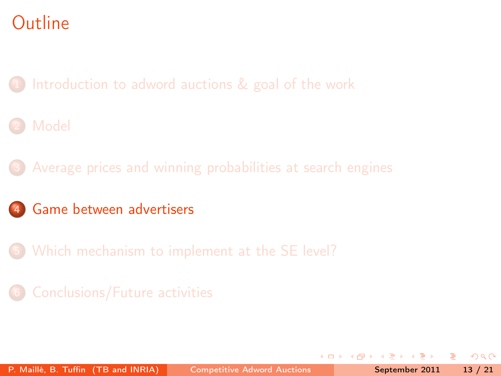[Introduction to adword auctions & goal of the work](#page-2-0)

### **[Model](#page-6-0)**

[Average prices and winning probabilities at search engines](#page-9-0)

### 4 [Game between advertisers](#page-12-0)

5 [Which mechanism to implement at the SE level?](#page-17-0)

 $\leftarrow$ 

<span id="page-12-0"></span> $QQ$ 

The South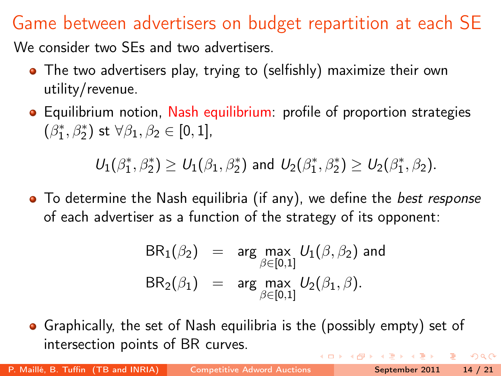## Game between advertisers on budget repartition at each SE

We consider two SEs and two advertisers.

- The two advertisers play, trying to (selfishly) maximize their own utility/revenue.
- Equilibrium notion, Nash equilibrium: profile of proportion strategies  $(\beta_1^*, \beta_2^*)$  st  $\forall \beta_1, \beta_2 \in [0, 1]$ ,

 $U_1(\beta_1^*,\beta_2^*)\geq U_1(\beta_1,\beta_2^*)$  and  $U_2(\beta_1^*,\beta_2^*)\geq U_2(\beta_1^*,\beta_2).$ 

• To determine the Nash equilibria (if any), we define the *best response* of each advertiser as a function of the strategy of its opponent:

<span id="page-13-0"></span>
$$
BR_1(\beta_2) = \arg \max_{\beta \in [0,1]} U_1(\beta, \beta_2) \text{ and}
$$
  

$$
BR_2(\beta_1) = \arg \max_{\beta \in [0,1]} U_2(\beta_1, \beta).
$$

• Graphically, the set of Nash equilibria is the (possibly empty) set of intersection points of BR curves.  $QQQ$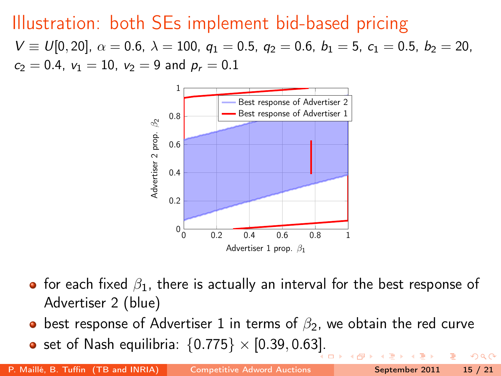## Illustration: both SEs implement bid-based pricing

 $V \equiv U[0, 20], \ \alpha = 0.6, \ \lambda = 100, \ q_1 = 0.5, \ q_2 = 0.6, \ b_1 = 5, \ c_1 = 0.5, \ b_2 = 20,$  $c_2 = 0.4$ ,  $v_1 = 10$ ,  $v_2 = 9$  and  $p_r = 0.1$ 



- for each fixed  $\beta_1$ , there is actually an interval for the best response of Advertiser 2 (blue)
- best response of Advertiser 1 in terms of  $\beta_2$ , we obtain the red curve
- set of Nash equilibria:  $\{0.775\} \times [0.39, 0.63]$  $\{0.775\} \times [0.39, 0.63]$ .

 $QQ$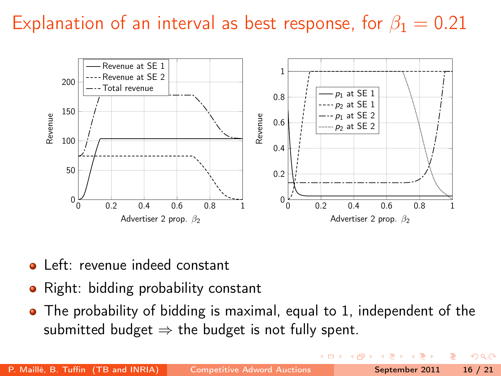## Explanation of an interval as best response, for  $\beta_1 = 0.21$



- **•** Left: revenue indeed constant
- Right: bidding probability constant  $\bullet$
- The probability of bidding is maximal, equal to 1, independent of the submitted budget  $\Rightarrow$  the budget is not fully spent.

 $2Q$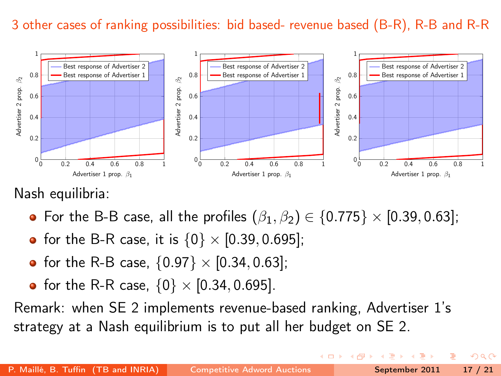#### 3 other cases of ranking possibilities: bid based- revenue based (B-R), R-B and R-R



Nash equilibria:

- For the B-B case, all the profiles  $(\beta_1, \beta_2) \in \{0.775\} \times [0.39, 0.63]$ ;
- for the B-R case, it is  $\{0\} \times [0.39, 0.695]$ ;
- for the R-B case,  $\{0.97\} \times [0.34, 0.63]$ ;
- for the R-R case,  $\{0\} \times [0.34, 0.695]$ .

Remark: when SE 2 implements revenue-based ranking, Advertiser 1's strategy at a Nash equilibrium is to put all her budget on SE 2.

 $\Omega$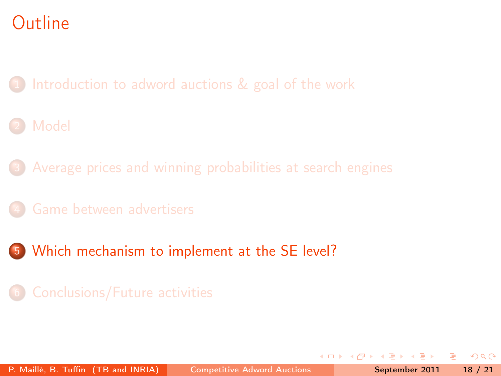[Introduction to adword auctions & goal of the work](#page-2-0)

### **[Model](#page-6-0)**

- [Average prices and winning probabilities at search engines](#page-9-0)
- 
- 5 [Which mechanism to implement at the SE level?](#page-17-0)

<span id="page-17-0"></span> $QQ$ 

The South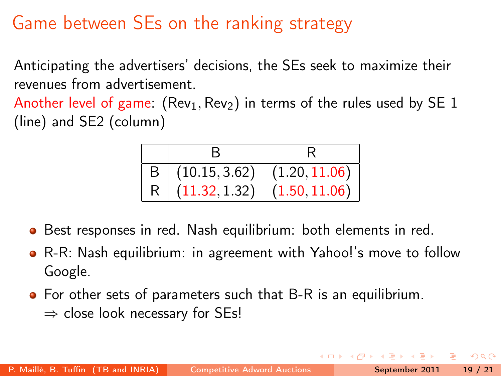## Game between SEs on the ranking strategy

Anticipating the advertisers' decisions, the SEs seek to maximize their revenues from advertisement.

Another level of game:  $(Rev_1, Rev_2)$  in terms of the rules used by SE 1 (line) and SE2 (column)

B R B (10.15, 3.62) (1.20, 11.06) R (11.32, 1.32) (1.50, 11.06)

- Best responses in red. Nash equilibrium: both elements in red.  $\bullet$
- R-R: Nash equilibrium: in agreement with Yahoo!'s move to follow Google.
- For other sets of parameters such that B-R is an equilibrium.  $\Rightarrow$  close look necessary for SEs!

 $\Omega$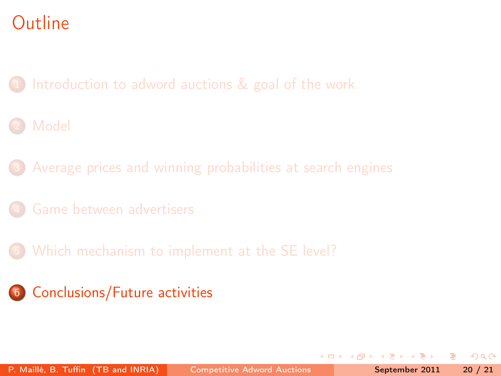[Introduction to adword auctions & goal of the work](#page-2-0)

### **[Model](#page-6-0)**

[Average prices and winning probabilities at search engines](#page-9-0)

- 
- 5 [Which mechanism to implement at the SE level?](#page-17-0)
- 6 [Conclusions/Future activities](#page-19-0)

 $\leftarrow$ 

<span id="page-19-0"></span> $QQ$ 

The South